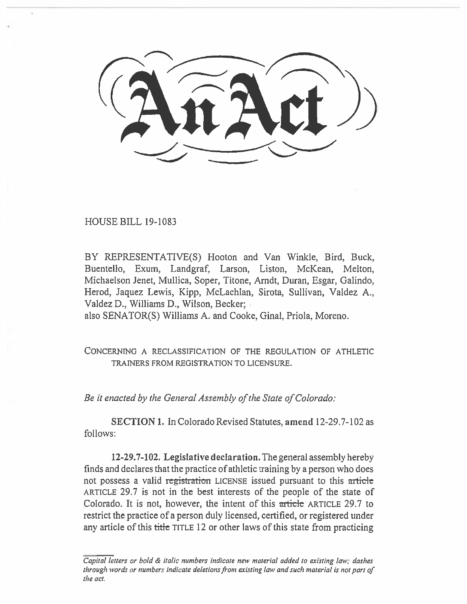HOUSE BILL 19-1083

BY REPRESENTATIVE(S) Hooton and Van Winkle, Bird, Buck, Buentello, Exum, Landgraf, Larson, Liston, McKean, Melton, Michaelson Jenet, Mullica, Soper, Titone, Arndt, **Duran,** Esgar, Galindo, Herod, Jaquez Lewis, Kipp, McLachlan, Sirota, Sullivan, Valdez A., Valdez D., Williams **D.,** Wilson, **Becker;** 

also SENATOR(S) Williams A. and Cooke, Ginal, Priola, Moreno.

CONCERNING A RECLASSIFICATION OF THE REGULATION OF ATHLETIC TRAINERS FROM REGISTRATION TO LICENSURE.

*Be it enacted by the General Assembly of the State of Colorado:* 

**SECTION I.** In Colorado Revised Statutes, **amend** 12-29.7-102 as follows:

**12-29.7-102. Legislafive declaration.** The general assembly hereby finds and declares that the practice of athletic training by a person who does not possess a valid registration LICENSE issued pursuant to this article ARTICLE 29.7 is not in the best interests of the people of the state of Colorado. It is not, however, the intent of this article ARTICLE 29.7 to restrict the practice of a person duly licensed, certified, or registered under any article of this title TITLE 12 or other laws of this state from practicing

*Capital letters or bold & italic numbers indicate new material added to existing law; dashes through words or numbers indicate deletions from existing law and such material is not part of the act.*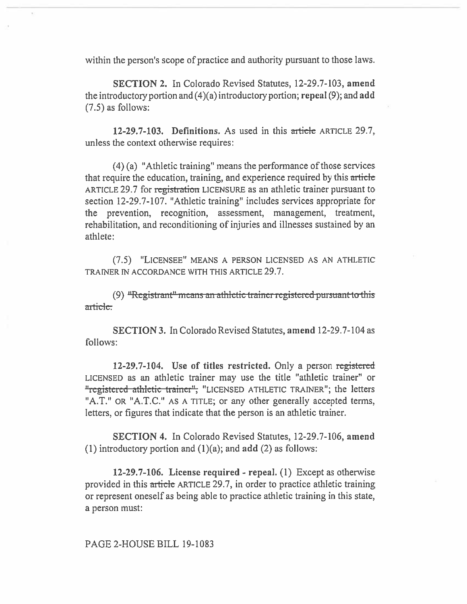within the person's scope of practice and authority pursuant to those laws.

SECTION 2. In Colorado Revised Statutes, 12-29.7-103, amend the introductory portion and  $(4)(a)$  introductory portion; repeal  $(9)$ ; and add (7.5) as follows:

12-29.7-103. Definitions. As used in this article ARTICLE 29.7, unless the context otherwise requires:

(4) (a) "Athletic training" means the performance of those services that require the education, training, and experience required by this article ARTICLE 29.7 for registration LICENSURE as an athletic trainer pursuant to section 12-29.7-107. "Athletic training" includes services appropriate for the prevention, recognition, assessment, management, treatment, rehabilitation, and reconditioning of injuries and illnesses sustained by an athlete:

(7.5) "LICENSEE" MEANS A PERSON LICENSED AS AN ATHLETIC TRAINER IN ACCORDANCE WITH THIS ARTICLE 29.7.

(9)  $H$ Registrant<sup> $n$ </sup> means an athletic trainer registered pursuant to this article.

SECTION 3. In Colorado Revised Statutes, amend 12-29.7-104 as follows:

12-29.7-104. Use of titles restricted. Only a person registered LICENSED as an athletic trainer may use the title "athletic trainer" or "registered athletic trainer", "LICENSED ATHLETIC TRAINER"; the letters "A.T." OR "A.T.C." AS A TITLE; or any other generally accepted terms, letters, or figures that indicate that the person is an athletic trainer.

SECTION 4. In Colorado Revised Statutes, 12-29.7-106, amend (1) introductory portion and  $(1)(a)$ ; and add  $(2)$  as follows:

12-29.7-106. License required - repeal. (1) Except as otherwise provided in this article ARTICLE 29.7, in order to practice athletic training or represent oneself as being able to practice athletic training in this state, a person must:

PAGE 2-HOUSE BILL 19-1083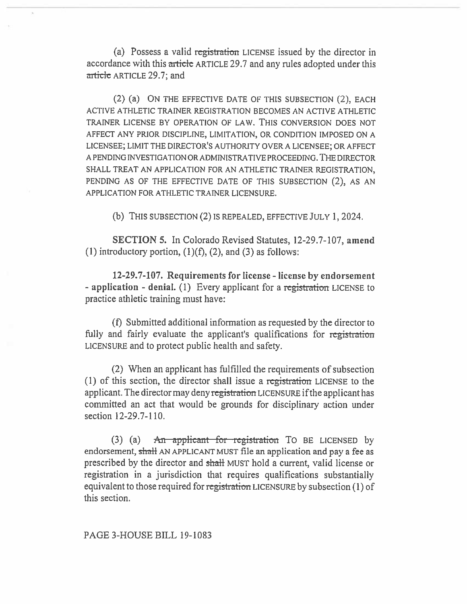(a) Possess a valid registration LICENSE issued by the director in accordance with this article ARTICLE 29.7 and any rules adopted under this article ARTICLE 29.7; and

(2) (a) ON THE EFFECTIVE DATE OF THIS SUBSECTION (2), EACH ACTIVE ATHLETIC TRAINER REGISTRATION BECOMES AN ACTIVE ATHLETIC TRAINER LICENSE BY OPERATION OF LAW. THIS CONVERSION DOES NOT AFFECT ANY PRIOR DISCIPLINE, LIMITATION, OR CONDITION IMPOSED ON A LICENSEE; LIMIT THE DIRECTOR'S AUTHORITY OVER A LICENSEE; OR AFFECT A PENDING INVESTIGATION OR ADMINISTRATIVE PROCEEDING. THE DIRECTOR SHALL TREAT AN APPLICATION FOR AN ATHLETIC TRAINER REGISTRATION, PENDING AS OF THE EFFECTIVE DATE OF THIS SUBSECTION (2), AS AN APPLICATION FOR ATHLETIC TRAINER LICENSURE.

(b) THIS SUBSECTION (2) IS REPEALED, EFFECTIVE JULY 1, 2024.

SECTION 5. In Colorado Revised Statutes, 12-29.7-107, amend (1) introductory portion,  $(1)(f)$ ,  $(2)$ , and  $(3)$  as follows:

12-29.7-107. Requirements for license - license by endorsement - application - denial. (1) Every applicant for a registration LICENSE to practice athletic training must have:

(f) Submitted additional information as requested by the director to fully and fairly evaluate the applicant's qualifications for registration LICENSURE and to protect public health and safety.

(2) When an applicant has fulfilled the requirements of subsection (1) of this section, the director shall issue a registration LICENSE to the applicant. The director may deny registration LICENSURE if the applicant has committed an act that would be grounds for disciplinary action under section 12-29.7-110.

(3) (a)  $\overline{A}$  An applicant for registration To BE LICENSED by endorsement, shall AN APPLICANT MUST file an application and pay a fee as prescribed by the director and shall MUST hold a current, valid license or registration in a jurisdiction that requires qualifications substantially equivalent to those required for registration LICENSURE by subsection (1) of this section.

PAGE 3-HOUSE BILL 19-1083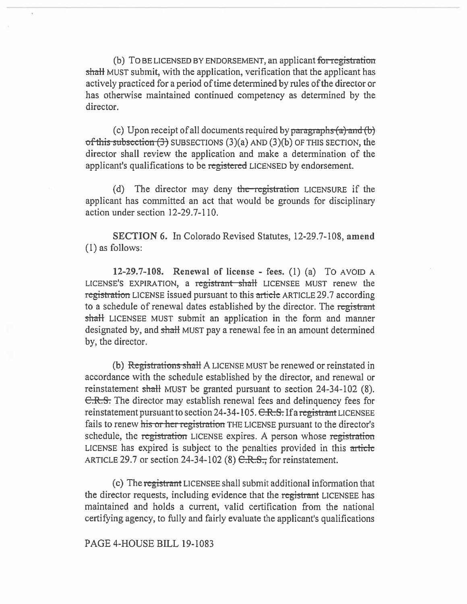(b) TO BE LICENSED BY ENDORSEMENT, an applicant for registration shall MUST submit, with the application, verification that the applicant has actively practiced for a period of time determined by rules of the director or has otherwise maintained continued competency as determined by the director.

(c) Upon receipt of all documents required by paragraphs  $(a)$  and  $(b)$ of this subsection  $(3)$  SUBSECTIONS  $(3)(a)$  AND  $(3)(b)$  OF THIS SECTION, the director shall review the application and make a determination of the applicant's qualifications to be registered LICENSED by endorsement.

(d) The director may deny the registration LICENSURE if the applicant has committed an act that would be grounds for disciplinary action under section 12-29.7-110.

SECTION 6. In Colorado Revised Statutes, 12-29.7-108, amend (1) as follows:

12-29.7-108. Renewal of license - fees. (1) (a) To AVOID A LICENSE'S EXPIRATION, a registrant shall LICENSEE MUST renew the registration LICENSE issued pursuant to this article ARTICLE 29.7 according to a schedule of renewal dates established by the director. The registrant shall LICENSEE MUST submit an application in the form and manner designated by, and shall MUST pay a renewal fee in an amount determined by, the director.

(b) Registrations shall A LICENSE MUST be renewed or reinstated in accordance with the schedule established by the director, and renewal or reinstatement shall MUST be granted pursuant to section 24-34-102 (8). C.R.S. The director may establish renewal fees and delinquency fees for reinstatement pursuant to section 24-34-105.  $C.R.S.$  If a registrant LICENSEE fails to renew his or her registration THE LICENSE pursuant to the director's schedule, the registration LICENSE expires. A person whose registration LICENSE has expired is subject to the penalties provided in this article ARTICLE 29.7 or section 24-34-102 (8)  $C.R.S.,$  for reinstatement.

(c) The registrant LICENSEE shall submit additional information that the director requests, including evidence that the registrant LICENSEE has maintained and holds a current, valid certification from the national certifying agency, to fully and fairly evaluate the applicant's qualifications

### PAGE 4-HOUSE BILL 19-1083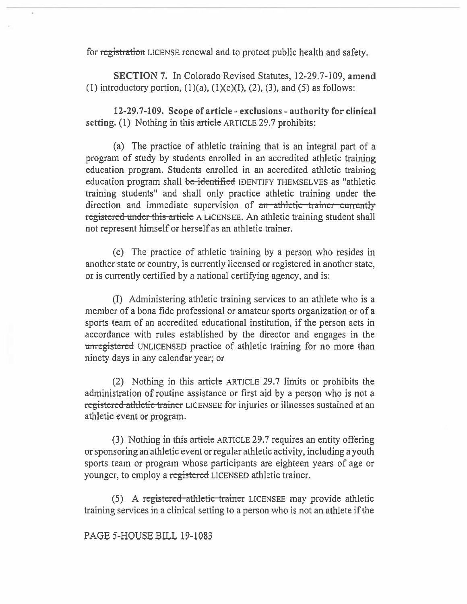for <del>registration</del> LICENSE renewal and to protect public health and safety.

SECTION 7. In Colorado Revised Statutes, 12-29.7-109, amend (1) introductory portion,  $(1)(a)$ ,  $(1)(c)(I)$ ,  $(2)$ ,  $(3)$ , and  $(5)$  as follows:

12-29.7-109. Scope of article - exclusions - authority for clinical setting.  $(1)$  Nothing in this article ARTICLE 29.7 prohibits:

(a) The practice of athletic training that is an integral part of a program of study by students enrolled in an accredited athletic training education program. Students enrolled in an accredited athletic training education program shall be identified IDENTIFY THEMSELVES as "athletic training students" and shall only practice athletic training under the direction and immediate supervision of an athletic trainer currently registered under this article A LICENSEE. An athletic training student shall not represent himself or herself as an athletic trainer.

(c) The practice of athletic training by a person who resides in another state or country, is currently licensed or registered in another state, or is currently certified by a national certifying agency, and is:

(I) Administering athletic training services to an athlete who is a member of a bona fide professional or amateur sports organization or of a sports team of an accredited educational institution, if the person acts in accordance with rules established by the director and engages in the unregistered UNLICENSED practice of athletic training for no more than ninety days in any calendar year; or

(2) Nothing in this article ARTICLE 29.7 limits or prohibits the administration of routine assistance or first aid by a person who is not a registered athletic trainer LICENSEE for injuries or illnesses sustained at an athletic event or program.

(3) Nothing in this article ARTICLE 29.7 requires an entity offering or sponsoring an athletic event or regular athletic activity, including a youth sports team or program whose participants are eighteen years of age or younger, to employ a registered LICENSED athletic trainer.

(5) A registered athletic trainer LICENSEE may provide athletic training services in a clinical setting to a person who is not an athlete if the

PAGE 5-HOUSE BILL 19-1083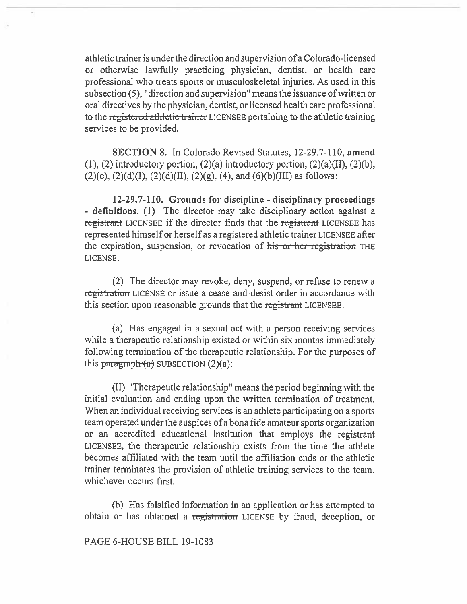athletic trainer is under the direction and supervision of a Colorado-licensed or otherwise lawfully practicing physician, dentist, or health care professional who treats sports or musculoskeletal injuries. As used in this subsection (5), "direction and supervision" means the issuance of written or oral directives by the physician, dentist, or licensed health care professional to the registered athletic trainer LICENSEE pertaining to the athletic training services to be provided.

**SECTION 8.** In Colorado Revised Statutes, 12-29.7-110, **amend**   $(1)$ ,  $(2)$  introductory portion,  $(2)(a)$  introductory portion,  $(2)(a)(II)$ ,  $(2)(b)$ ,  $(2)(c)$ ,  $(2)(d)(I)$ ,  $(2)(d)(II)$ ,  $(2)(g)$ ,  $(4)$ , and  $(6)(b)(III)$  as follows:

**12-29.7-110. Grounds for discipline - disciplinary proceedings - definitions.** (1) The director may take disciplinary action against a registrant LICENSEE if the director finds that the registrant LICENSEE has represented himself or herself as a registered athletic trainer LICENSEE after the expiration, suspension, or revocation of his or her registration THE LICENSE.

(2) The director may revoke, deny, suspend, or refuse to renew a registration LICENSE or issue a cease-and-desist order in accordance with this section upon reasonable grounds that the registrant LICENSEE:

(a) Has engaged in a sexual act with a person receiving services while a therapeutic relationship existed or within six months immediately following termination of the therapeutic relationship. For the purposes of this paragraph  $(a)$  SUBSECTION  $(2)(a)$ :

**(II)** "Therapeutic relationship" means the period beginning with the initial evaluation and ending upon the written termination of treatment. When an individual receiving services is an athlete participating on a sports team operated under the auspices of a bona fide amateur sports organization or an accredited educational institution that employs the registrant LICENSEE, the therapeutic relationship exists from the time the athlete becomes affiliated with the team until the affiliation ends or the athletic trainer terminates the provision of athletic training services to the team, whichever occurs first.

(b) Has falsified **information in** an application or has attempted to obtain or has obtained a registration LICENSE by fraud, deception, or

### **PAGE** 6-HOUSE BILL 19-1083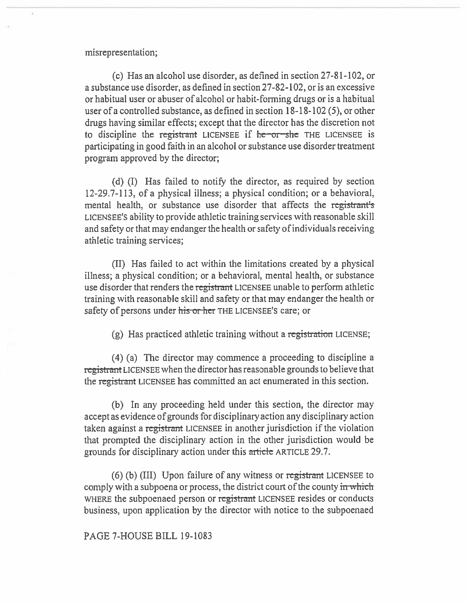### misrepresentation;

(c) Has an alcohol use disorder, as defined in section 27-81-102, or a substance use disorder, as defined in section 27-82-102, or is an excessive or habitual user or abuser of alcohol or habit-forming drugs or is a habitual user of a controlled substance, as defined in section 18-18-102 (5), or other drugs having similar effects; except that the director has the discretion not to discipline the registrant LICENSEE if  $h$  -  $\sigma r$ —she THE LICENSEE is participating in good faith in an alcohol or substance use disorder treatment program approved by the director;

(d) (I) Has failed to notify the director, as required by section 12-29.7-113, of a physical illness; a physical condition; or a behavioral, mental health, or substance use disorder that affects the registrant's LICENSEE'S ability to provide athletic training services with reasonable skill and safety or that may endanger the health or safety of individuals receiving athletic training services;

(II) Has failed to act within the limitations created by a physical illness; a physical condition; or a behavioral, mental health, or substance use disorder that renders the registrant LICENSEE unable to perform athletic training with reasonable skill and safety or that may endanger the health or safety of persons under his or her THE LICENSEE'S care; or

 $(g)$  Has practiced athletic training without a registration LICENSE;

(4) (a) The director may commence a proceeding to discipline a registrant LICENSEE when the director has reasonable grounds to believe that the registrant LICENSEE has committed an act enumerated in this section.

(b) In any proceeding held under this section, the director may accept as evidence of grounds for disciplinary action any disciplinary action taken against a registrant LICENSEE in another jurisdiction if the violation that prompted the disciplinary action in the other jurisdiction would be grounds for disciplinary action under this article ARTICLE 29.7.

(6) (b) (III) Upon failure of any witness or registrant LICENSEE to comply with a subpoena or process, the district court of the county in which WHERE the subpoenaed person or registrant LICENSEE resides or conducts business, upon application by the director with notice to the subpoenaed

PAGE 7-HOUSE BILL 19-1083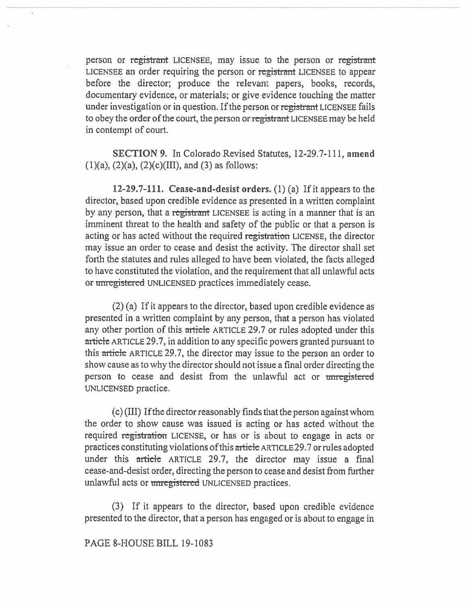person or registrant LICENSEE, may issue to the person or registrant LICENSEE an order requiring the person or registrant LICENSEE to appear before the director; produce the relevant papers, books, records, documentary evidence, or materials; or give evidence touching the matter under investigation or in question. If the person or registrant LICENSEE fails to obey the order of the court, the person or registrant LICENSEE may be held in contempt of court.

SECTION 9. In Colorado Revised Statutes, 12-29.7-111, amend  $(1)(a)$ ,  $(2)(a)$ ,  $(2)(c)(III)$ , and  $(3)$  as follows:

12-29.7-111. Cease-and-desist orders. (1) (a) If it appears to the director, based upon credible evidence as presented in a written complaint by any person, that a registrant LICENSEE is acting in a manner that is an imminent threat to the health and safety of the public or that a person is acting or has acted without the required registration LICENSE, the director may issue an order to cease and desist the activity. The director shall set forth the statutes and rules alleged to have been violated, the facts alleged to have constituted the violation, and the requirement that all unlawful acts or unregistered UNLICENSED practices immediately cease.

(2) (a) If it appears to the director, based upon credible evidence as presented in a written complaint by any person, that a person has violated any other portion of this article ARTICLE 29.7 or rules adopted under this article ARTICLE 29.7, in addition to any specific powers granted pursuant to this article ARTICLE 29.7, the director may issue to the person an order to show cause as to why the director should not issue a final order directing the person to cease and desist from the unlawful act or unregistered UNLICENSED practice.

(c) (III) If the director reasonably finds that the person against whom the order to show cause was issued is acting or has acted without the required registration LICENSE, or has or is about to engage in acts or practices constituting violations of this article ARTICLE 29.7 or rules adopted under this article ARTICLE 29.7, the director may issue a final cease-and-desist order, directing the person to cease and desist from further unlawful acts or unregistered UNLICENSED practices.

(3) If it appears to the director, based upon credible evidence presented to the director, that a person has engaged or is about to engage in

## PAGE 8-HOUSE BILL 19-1083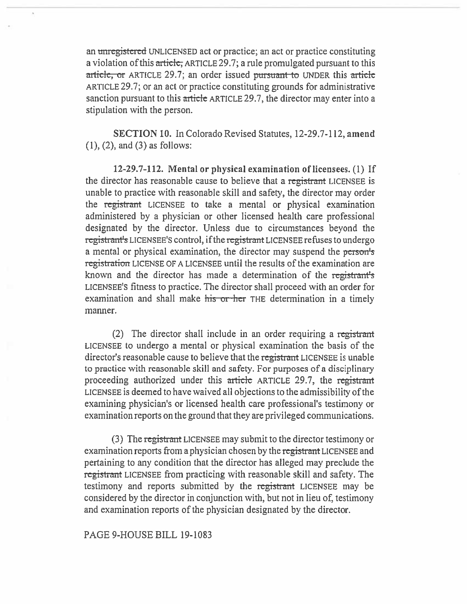an unregistered UNLICENSED act or practice; an act or practice constituting a violation of this article, ARTICLE 29.7; a rule promulgated pursuant to this article, or ARTICLE 29.7; an order issued pursuant to UNDER this article ARTICLE 29.7; or an act or practice constituting grounds for administrative sanction pursuant to this article ARTICLE 29.7, the director may enter into a stipulation with the person.

SECTION 10. In Colorado Revised Statutes, 12-29.7-112, amend (1), (2), and (3) as follows:

12-29.7-112. Mental or physical examination of licensees. (1) If the director has reasonable cause to believe that a registrant LICENSEE is unable to practice with reasonable skill and safety, the director may order the registrant LICENSEE to take a mental or physical examination administered by a physician or other licensed health care professional designated by the director. Unless due to circumstances beyond the registrant's LICENSEE'S control, if the registrant LICENSEE refuses to undergo a mental or physical examination, the director may suspend the person's registration LICENSE OF A LICENSEE until the results of the examination are known and the director has made a determination of the registrant's LICENSEE'S fitness to practice. The director shall proceed with an order for examination and shall make his or her THE determination in a timely manner.

(2) The director shall include in an order requiring a registrant LICENSEE to undergo a mental or physical examination the basis of the director's reasonable cause to believe that the registrant LICENSEE is unable to practice with reasonable skill and safety. For purposes of a disciplinary proceeding authorized under this article ARTICLE 29.7, the registrant LICENSEE is deemed to have waived all objections to the admissibility of the examining physician's or licensed health care professional's testimony or examination reports on the ground that they are privileged communications.

(3) The registrant LICENSEE may submit to the director testimony or examination reports from a physician chosen by the registrant LICENSEE and pertaining to any condition that the director has alleged may preclude the registraat LICENSEE from practicing with reasonable skill and safety. The testimony and reports submitted by the registrant LICENSEE may be considered by the director in conjunction with, but not in lieu of, testimony and examination reports of the physician designated by the director.

PAGE 9-HOUSE BILL 19-1083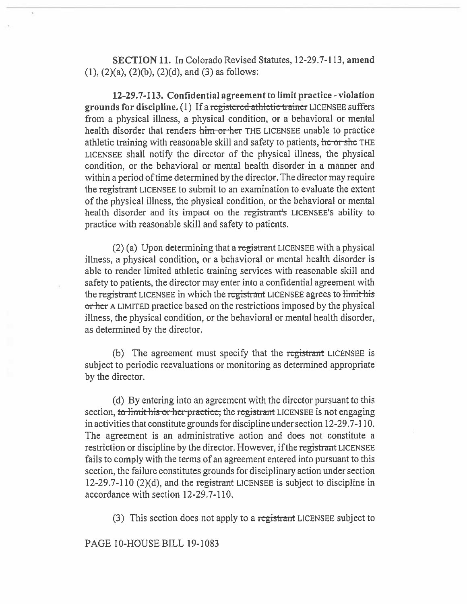SECTION 11. In Colorado Revised Statutes, 12-29.7-113, amend  $(1)$ ,  $(2)(a)$ ,  $(2)(b)$ ,  $(2)(d)$ , and  $(3)$  as follows:

12-29.7-113. Confidential agreement to limit practice - violation grounds for discipline. (1) If a registered athletic trainer LICENSEE suffers from a physical illness, a physical condition, or a behavioral or mental health disorder that renders him or her THE LICENSEE unable to practice athletic training with reasonable skill and safety to patients,  $\frac{1}{\pi}$  or she THE LICENSEE shall notify the director of the physical illness, the physical condition, or the behavioral or mental health disorder in a manner and within a period of time determined by the director. The director may require the registrant LICENSEE to submit to an examination to evaluate the extent of the physical illness, the physical condition, or the behavioral or mental health disorder and its impact on the registrant's LICENSEE's ability to practice with reasonable skill and safety to patients.

(2) (a) Upon determining that a registrant LICENSEE with a physical illness, a physical condition, or a behavioral or mental health disorder is able to render limited athletic training services with reasonable skill and safety to patients, the director may enter into a confidential agreement with the registrant LICENSEE in which the registrant LICENSEE agrees to limit his or her A LIMITED practice based on the restrictions imposed by the physical illness, the physical condition, or the behavioral or mental health disorder, as determined by the director.

(b) The agreement must specify that the registrant LICENSEE is subject to periodic reevaluations or monitoring as determined appropriate by the director.

(d) By entering into an agreement with the director pursuant to this section, to limit his or her practice, the registrant LICENSEE is not engaging in activities that constitute grounds for discipline under section 12-29.7-110. The agreement is an administrative action and does not constitute a restriction or discipline by the director. However, if the registrant LICENSEE fails to comply with the terms of an agreement entered into pursuant to this section, the failure constitutes grounds for disciplinary action under section 12-29.7-110  $(2)(d)$ , and the registrant LICENSEE is subject to discipline in accordance with section 12-29.7-110.

(3) This section does not apply to a registrant LICENSEE subject to

### PAGE 10-HOUSE BILL 19-1083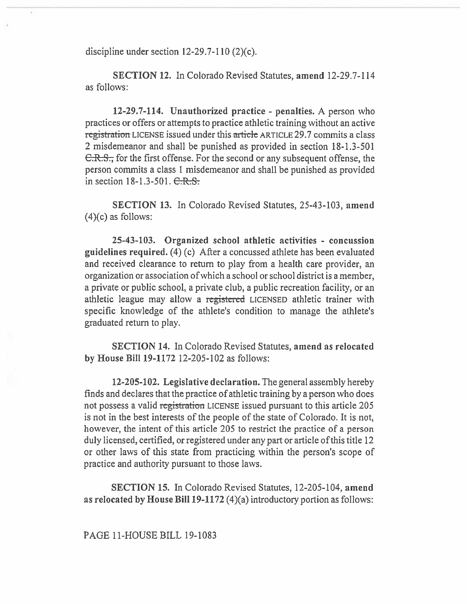discipline under section 12-29.7-110 (2)(c).

**SECTION 12. In Colorado Revised Statutes, amend** 12-29.7-114 as follows:

**12-29.7-114. Unauthorized practice - penalties.** A person who practices or offers or attempts to practice athletic training without an active registration LICENSE issued under this article ARTICLE 29.7 commits a class 2 misdemeanor and shall be punished as provided in section 18-1.3-501 C.R.S., for the first offense. For the second or any subsequent offense, the person commits a class I misdemeanor and shall be punished as provided in section  $18-1.3-501$ .  $C-R-S$ .

**SECTION 13.** In Colorado Revised Statutes, 25-43-103, **amend**   $(4)(c)$  as follows:

**25-43-103. Organized school athletic activities - concussion guidelines required.** (4) (c) After a concussed athlete has been evaluated and received clearance to **return** to play from a health care provider, an organization or association of which a school or school district is a member, a private or public school, a private club, a public recreation facility, or an athletic league may allow a registered LICENSED athletic trainer with specific knowledge of the athlete's condition to manage the athlete's graduated return to play.

**SECTION 14.** In Colorado Revised Statutes, **amend as relocated by House Bill 19-1172** 12-205-102 as follows:

**12-205-102. Legislative declaration.** The general assembly hereby finds and declares that the practice of athletic training by a person who does not possess a valid registration LICENSE issued pursuant to this article 205 is not in the best interests of the people of the state of Colorado. It is not, however, the intent of this article 205 to restrict the practice of a person duly licensed, certified, or registered under any part or article of this title 12 or other laws **of** this state from practicing within the **person's** scope of practice and authority pursuant to those laws.

**SECTION 15.** In Colorado Revised Statutes, 12-205-104, **amend as relocated by House Bill 19-1172** (4)(a) introductory portion as follows: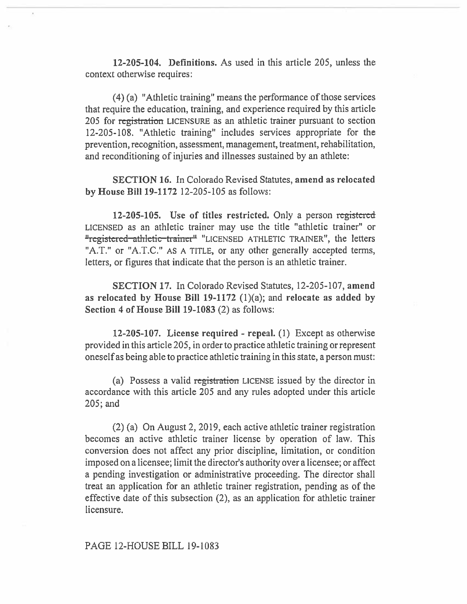**12-205-104. Definitions.** As used in this article 205, unless the context otherwise requires:

(4) (a) "Athletic training" means the performance of those services that require the education, training, and experience required by this article 205 for registration LICENSURE as an athletic trainer pursuant to section 12-205-108. "Athletic training" includes services appropriate for the prevention, recognition, assessment, management, treatment, rehabilitation, and reconditioning of injuries and illnesses sustained by an athlete:

**SECTION 16.** In Colorado Revised Statutes, **amend as relocated by House Bill 19-1172** 12-205-105 as follows:

**12-205-105. Use of titles restricted.** Only a person registered LICENSED as an athletic trainer may use the title "athletic trainer" or egistered athletic trainer" "LICENSED ATHLETIC TRAINER", the letters "A.T." or "A.T.C." AS A TITLE, or any other generally accepted terms, letters, **or** figures that indicate that the person is an athletic trainer.

**SECTION 17.** In Colorado Revised Statutes, 12-205-107, **amend as relocated by House Bill 19-1172** (1)(a); and **relocate as added by Section 4 of House Bill 19-1083** (2) as follows:

**12-205-107. License required - repeal.** (1) Except as otherwise provided in this article 205, in order to practice athletic training or represent oneself as being able to practice athletic training in this state, a person must:

(a) Possess a valid registration LICENSE issued by the director in accordance with this article 205 and any rules adopted under this article 205; and

(2) (a) On August 2, 2019, each active athletic trainer registration becomes an active athletic trainer license by operation of law. This conversion does not affect any prior discipline, limitation, or condition imposed on a licensee; limit the director's authority over a licensee; or affect a pending investigation or administrative proceeding. The director shall treat an application for an athletic trainer registration, pending as of the effective date of this subsection (2), as an application for athletic trainer licensure.

PAGE 12-HOUSE BILL 19-1083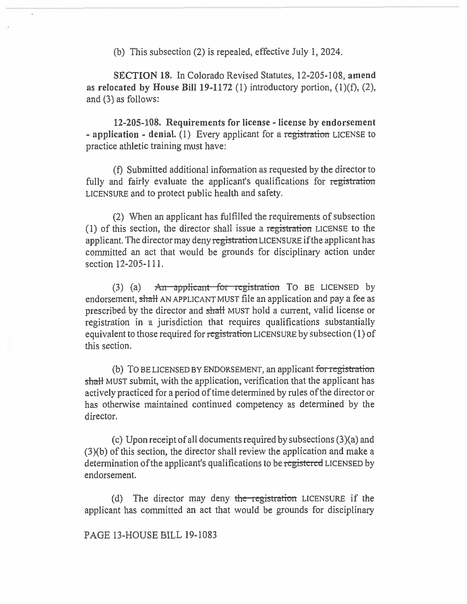(b) This subsection (2) is repealed, effective July I, 2024.

**SECTION 18.** In Colorado Revised Statutes, 12-205-108, **amend as relocated by House Bill 19-1172** (1) introductory portion, (1)(f), (2), and (3) as follows:

**12-205-108. Requirements for license - license by endorsement - application - denial.** (1) Every applicant for a registration LICENSE to practice athletic training must have:

(f) Submitted additional information as requested by the director to fully and fairly evaluate the applicant's qualifications for registration LICENSURE and to protect public health and safety.

(2) When an applicant has fulfilled the requirements of subsection (1) of this section, the director shall issue a registration LICENSE to the applicant. The director may deny registration LICENSURE if the applicant has committed an act that would be grounds for disciplinary action under section 12-205-111.

(3) (a)  $\overline{A}$ n applicant for registration TO BE LICENSED by endorsement, shall AN APPLICANT MUST file an application and pay a fee as prescribed by the director and shall MUST hold a current, valid license or registration in a jurisdiction that requires qualifications substantially equivalent to those required for registration LICENSURE by subsection (1) of this section.

(b) TO BE LICENSED BY ENDORSEMENT, an applicant for registration shall MUST submit, with the application, verification that the applicant has actively practiced for a period of time determined by rules of the director or has otherwise maintained continued competency as determined by the director.

(c) Upon receipt of all documents required by subsections (3)(a) and (3)(b) of this section, the director shall review the application and make a determination of the applicant's qualifications to be registered LICENSED by endorsement.

(d) The director may deny the registration LICENSURE if the applicant has committed an act that would be grounds for disciplinary

PAGE I3-HOUSE BILL 19-1083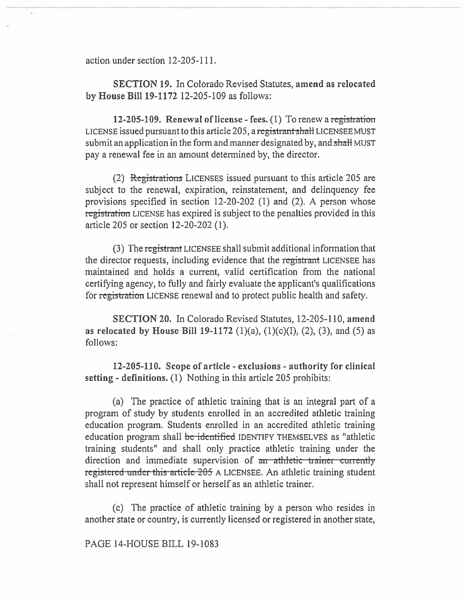action under section 12-205-111.

**SECTION 19.** In Colorado Revised Statutes, **amend as relocated by House Bill 19-1172** 12-205-109 as follows:

**12-205-109. Renewal of license - fees.** (1) To renew a registration LICENSE issued pursuant to this article 205, a registrant shall LICENSEE MUST submit an application in the form and manner designated by, and shall MUST pay a renewal fee in an amount determined by, the director.

(2) Registrations LICENSES issued pursuant to this article 205 are subject to the renewal, expiration, reinstatement, and delinquency fee provisions specified in section 12-20-202 (1) and (2). A person whose registration LICENSE has expired is subject to the penalties provided in this article 205 or section 12-20-202 (1).

(3) The registrant LICENSEE shall submit additional information that the director requests, including evidence that the registrant LICENSEE has maintained and holds a current, valid certification from the national certifying agency, to **fully** and fairly evaluate the applicant's qualifications for registration LICENSE renewal and to protect public health and safety.

**SECTION 20.** In Colorado Revised Statutes, 12-205-110, **amend as relocated by House Bill 19-1172** (1)(a), (1)(c)(I), **(2), (3), and** (5) as follows:

**12-205-110. Scope of article - exclusions - authority for clinical setting - definitions. (1)** Nothing in this article 205 prohibits:

(a) The practice of athletic training that is an integral part of a program of study by students enrolled in an accredited athletic training education program. Students enrolled in an accredited athletic training education program shall be identified IDENTIFY THEMSELVES as "athletic training students" and shall only practice athletic training under the direction and immediate supervision of an athletic trainer currently registered under this article 205 A LICENSEE. An athletic training student shall not represent himself or herself as an athletic trainer,

**(c)** The practice of athletic training by a person who resides in **another state** or country, is currently licensed or registered in another state,

### **PAGE 14-HOUSE BILL 19-1083**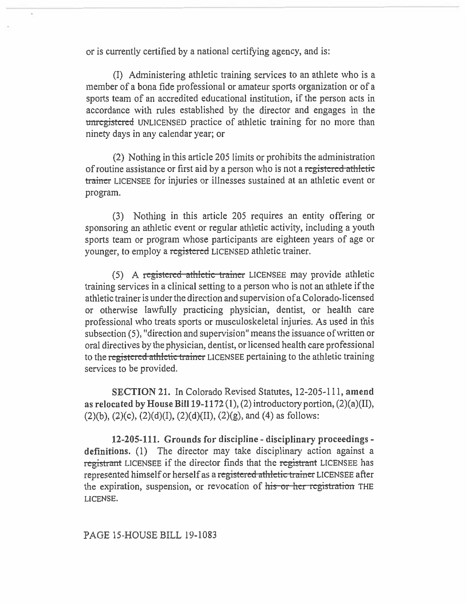or is currently certified by a national certifying agency, and is:

(I) Administering athletic training services to an athlete who is a member of a bona fide professional or amateur sports organization or of a sports team of an accredited educational institution, if the person acts in accordance with rules established by the director and engages in the unregistered UNLICENSED practice of athletic training for no more than ninety days in any calendar year; or

(2) Nothing in this article 205 limits or prohibits the administration of routine assistance or first aid by a person who is not a registered athletic trainer LICENSEE for injuries or illnesses sustained at an athletic event or program.

(3) Nothing in this article 205 requires an entity offering or sponsoring an athletic event or regular athletic activity, including a youth sports team or program whose participants are eighteen years of age or younger, to employ a registered LICENSED athletic trainer.

(5) A registered athletic trainer LICENSEE may provide athletic training services in a clinical setting to a person who is not an athlete if the athletic trainer is under the direction and supervision of a Colorado-licensed or otherwise lawfully practicing physician, dentist, or health care professional who treats sports or musculoskeletal injuries. As used in this subsection (5), "direction and supervision" means the issuance of written or oral directives by the physician, dentist, or licensed health care professional to the registered athletic trainer LICENSEE pertaining to the athletic training services to be provided.

**SECTION 21.** In Colorado Revised Statutes, 12-205-111, **amend as relocated by House Bill 19-1172 (1),** (2) introductory portion, (2)(a)(II),  $(2)(b)$ ,  $(2)(c)$ ,  $(2)(d)(I)$ ,  $(2)(d)(II)$ ,  $(2)(g)$ , and  $(4)$  as follows:

**12-205-111. Grounds for discipline - disciplinary proceedings definitions.** (1) The director may take disciplinary action against a registrant LICENSEE if the director finds that the registrant LICENSEE has represented himself or herself as a registered athletic trainer LICENSEE after the expiration, suspension, or revocation of his or her registration THE LICENSE.

PAGE 15-HOUSE BILL 19-1083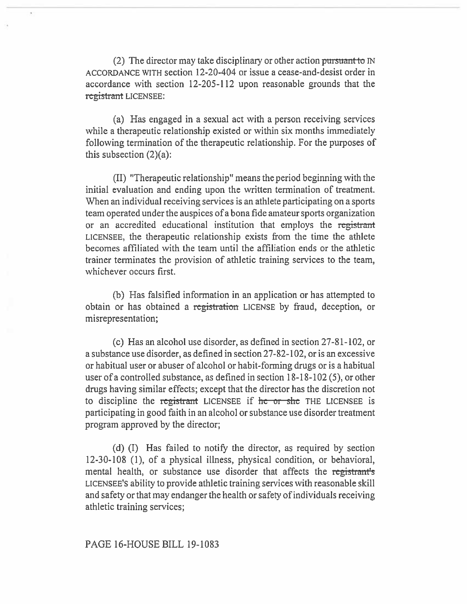(2) The director may take disciplinary or other action *puisu*ant ACCORDANCE WITH section 12-20-404 or issue a cease-and-desist order in accordance with section 12-205-112 upon reasonable grounds that the registrant LICENSEE:

(a) Has engaged in a sexual act with a person receiving services while a therapeutic relationship existed or within six months immediately following termination of the therapeutic relationship. For the purposes of this subsection  $(2)(a)$ :

(II) "Therapeutic relationship" means the period beginning with the initial evaluation and ending upon the written termination of treatment. When an individual receiving services is an athlete participating on a sports team operated under the auspices of a bona fide amateur sports organization or an accredited educational institution that employs the registrant LICENSEE, the therapeutic relationship exists from the time **the** athlete becomes affiliated with the team until the affiliation ends or the athletic trainer terminates the provision of athletic training services to the team, whichever occurs first.

(b) Has falsified information in an application or has attempted to obtain or has obtained a registration LICENSE by fraud, deception, or misrepresentation;

(c) Has an alcohol use disorder, as defined in section 27-81-102, or a substance use disorder, as defined in section 27-82-102, or is an excessive or habitual user or abuser of alcohol or habit-forming drugs or is a habitual user of a controlled substance, as defined in section 18-18-102 (5), or other drugs having similar effects; except that the director has the discretion not to discipline the registrant LICENSEE if he or she THE LICENSEE is participating in good faith in an alcohol or substance use disorder treatment program approved by the director;

(d) (I) Has failed to notify the director, as required by section 12-30-108 (1), of a physical illness, physical condition, or behavioral, mental health, or substance use disorder that affects the registrant's LICENSEE'S ability to provide athletic training services with reasonable skill and safety or that may endanger the health or safety of individuals receiving athletic training services;

# PAGE 16-HOUSE BILL 19-1083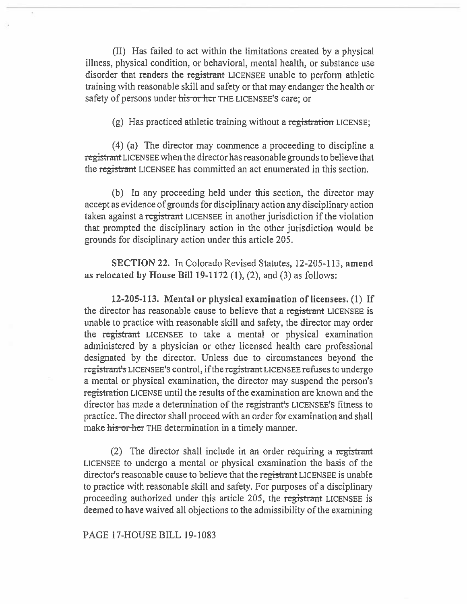(II) Has failed to act within the limitations created by a physical illness, physical condition, or behavioral, mental health, or substance use disorder that renders the registrant LICENSEE unable to perform athletic training with reasonable skill and safety or that may endanger the health or safety of persons under his or her THE LICENSEE'S care; or

(g) Has practiced athletic training without a registration LICENSE;

(4) (a) The director may commence a proceeding to discipline a registrant LICENSEE when the director has reasonable grounds to believe that the registrant LICENSEE has committed an act enumerated in this section.

(b) In any proceeding held under this section, the director may accept as evidence of grounds for disciplinary action any disciplinary action taken against a registrant LICENSEE in another jurisdiction if the violation that prompted the disciplinary action in the other jurisdiction would be grounds for disciplinary action under this article 205.

SECTION 22. In Colorado Revised Statutes, 12-205-113, amend as relocated by House Bill 19-1172  $(1)$ ,  $(2)$ , and  $(3)$  as follows:

12-205-113. Mental or physical examination of licensees. (1) If the director has reasonable cause to believe that a registrant LICENSEE is unable to practice with reasonable skill and safety, the director may order the registrant LICENSEE to take a mental or physical examination administered by a physician or other licensed health care professional designated by the director. Unless due to circumstances beyond the registrant's LICENSEE'S control, if the registrant LICENSEE refuses to undergo a mental or physical examination, the director may suspend the person's registration LICENSE until the results of the examination are known and the director has made a determination of the registrant's LICENSEE'S fitness to practice. The director shall proceed with an order for examination and shall make his or her THE determination in a timely manner.

(2) The director shall include in an order requiring a registrant LICENSEE to undergo a mental or physical examination the basis of the director's reasonable cause to believe that the registrant LICENSEE is unable to practice with reasonable skill and safety. For purposes of a disciplinary proceeding authorized under this article 205, the registrant LICENSEE is deemed to have waived all objections to the admissibility of the examining

PAGE 17-HOUSE BILL 19-1083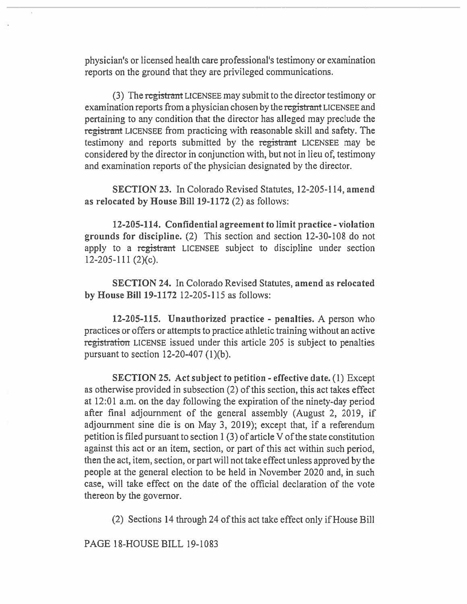physician's or licensed health care professional's testimony or examination reports on the ground that they are privileged communications.

(3) The registrant LICENSEE may submit to the director testimony or examination reports from a physician chosen by the registrant LICENSEE and pertaining to any condition that the director has alleged may preclude the registrant LICENSEE from practicing with reasonable skill and safety. The testimony and reports submitted by the registrant LICENSEE may be considered by the director in conjunction with, but not in lieu of, testimony and examination reports of the physician designated by the director.

SECTION 23. In Colorado Revised Statutes, **12-205-114, amend as relocated by House Bill 19-1172** (2) as follows:

**12-205-114. Confidential agreement to limit practice - violation grounds for discipline.** (2) This section and section 12-30-108 do not apply to a registrant LICENSEE subject to discipline under section 12-205-111 (2)(c).

**SECTION 24. In** Colorado Revised Statutes, **amend as relocated by House Bill 19-1172** 12-205-115 as follows:

**12-205-115. Unauthorized practice - penalties. A** person who practices or offers or attempts to practice athletic training without an active registration LICENSE issued under this article 205 is subject to penalties pursuant to section  $12-20-407$  (1)(b).

SECTION 25. **Act subject to petition - effective date.** (1) Except as otherwise provided in subsection (2) of this section, this act takes effect at 12:01 a.m. on the day following the expiration of the ninety-day period after final adjournment of the general assembly (August 2, 2019, if adjournment sine die is on May 3, 2019); except that, if a referendum petition is filed pursuant to section **1** (3) of article V of the state constitution against this act or an item, section, or part of this act within such period, then the act, item, section, or part will not take effect unless approved by the people at the general election to be held in November 2020 and, in such case, will take effect on the date of the official declaration of the vote thereon by the governor.

(2) Sections 14 through 24 of this act take effect only if House Bill

PAGE 18-HOUSE BILL 19-1083